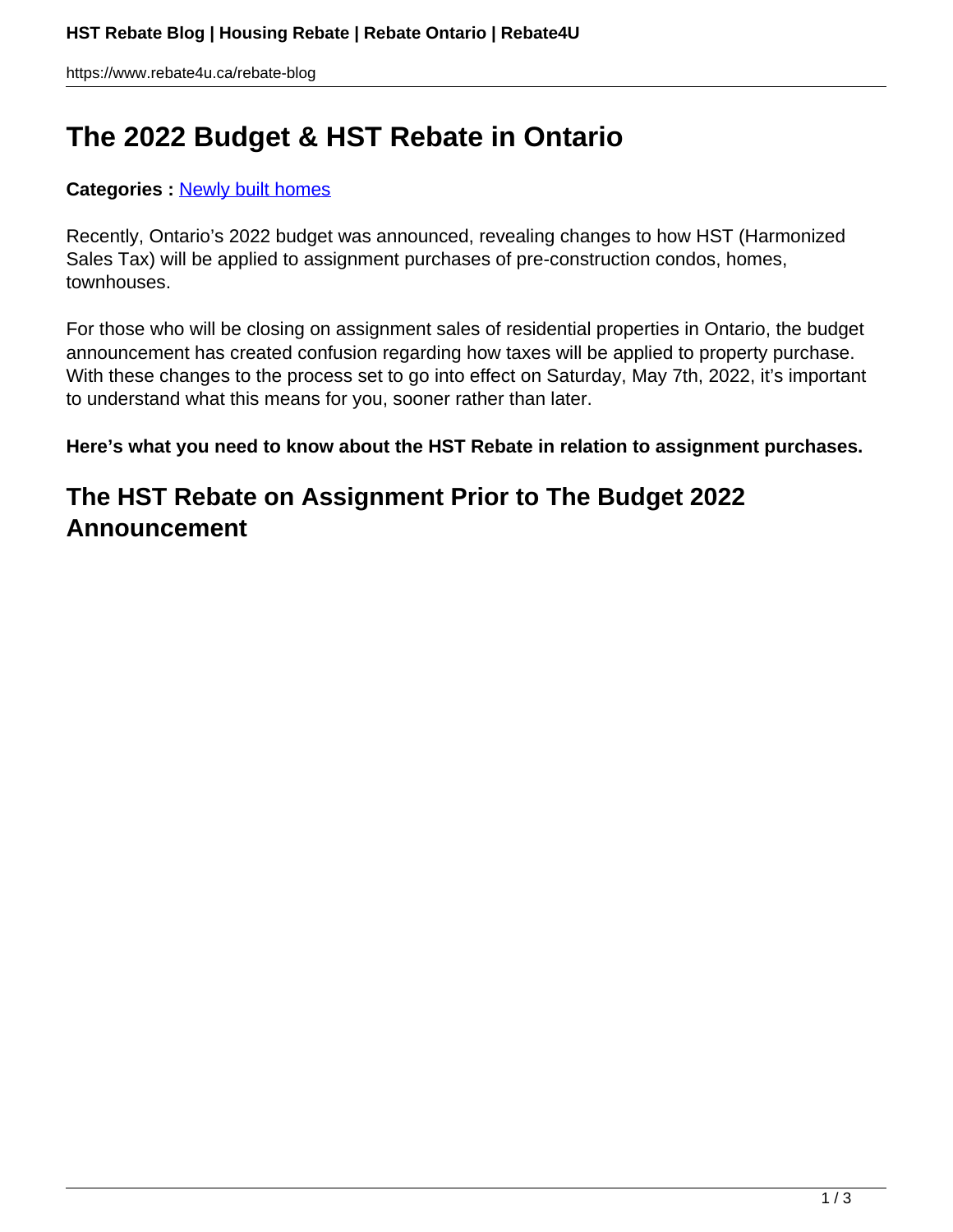# **The 2022 Budget & HST Rebate in Ontario**

#### **Categories :** [Newly built homes](https://www.rebate4u.ca/rebate-blog/category/newly-built-homes/)

Recently, Ontario's 2022 budget was announced, revealing changes to how HST (Harmonized Sales Tax) will be applied to assignment purchases of pre-construction condos, homes, townhouses.

For those who will be closing on assignment sales of residential properties in Ontario, the budget announcement has created confusion regarding how taxes will be applied to property purchase. With these changes to the process set to go into effect on Saturday, May 7th, 2022, it's important to understand what this means for you, sooner rather than later.

**Here's what you need to know about the HST Rebate in relation to assignment purchases.** 

#### **The HST Rebate on Assignment Prior to The Budget 2022 Announcement**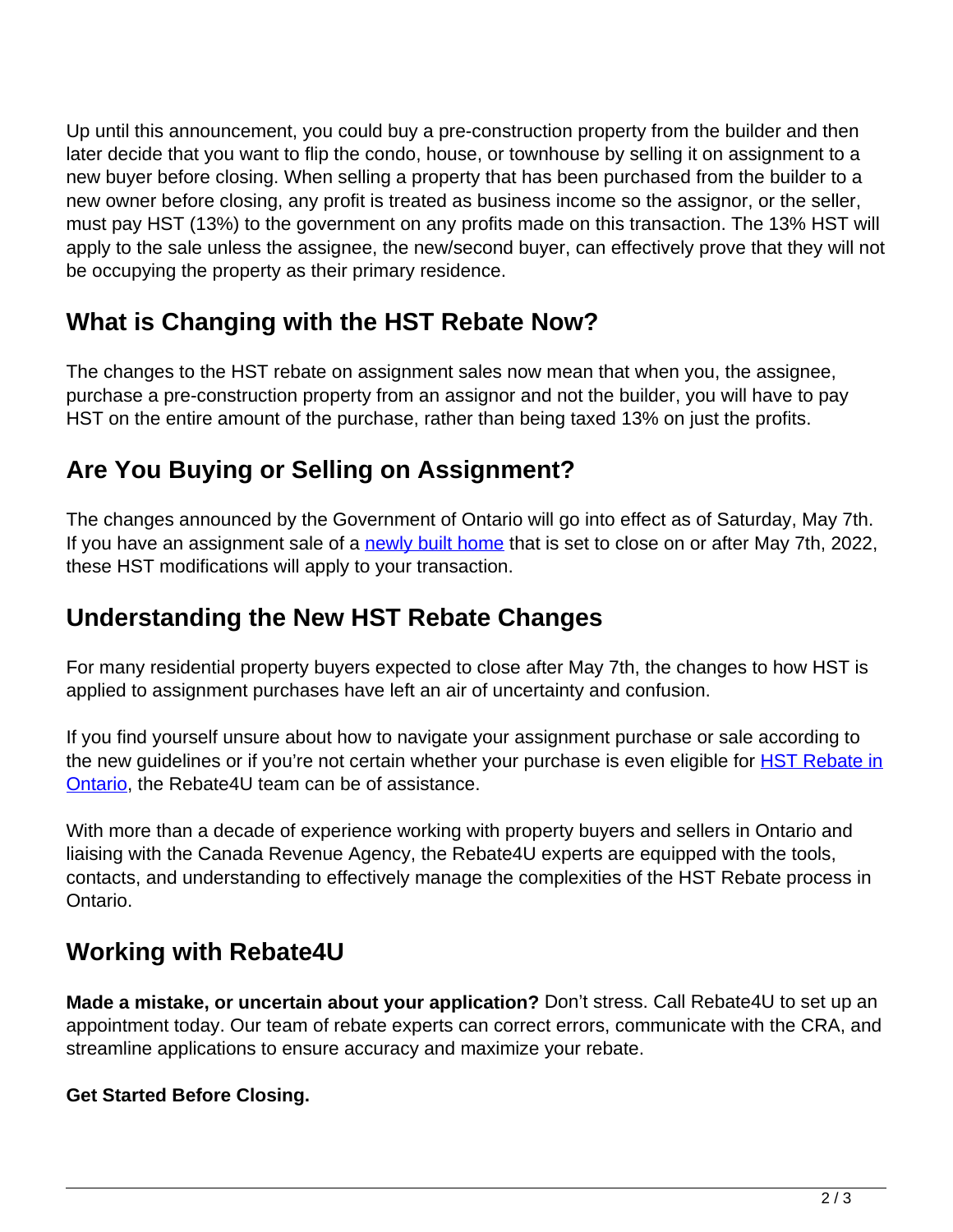Up until this announcement, you could buy a pre-construction property from the builder and then later decide that you want to flip the condo, house, or townhouse by selling it on assignment to a new buyer before closing. When selling a property that has been purchased from the builder to a new owner before closing, any profit is treated as business income so the assignor, or the seller, must pay HST (13%) to the government on any profits made on this transaction. The 13% HST will apply to the sale unless the assignee, the new/second buyer, can effectively prove that they will not be occupying the property as their primary residence.

#### **What is Changing with the HST Rebate Now?**

The changes to the HST rebate on assignment sales now mean that when you, the assignee, purchase a pre-construction property from an assignor and not the builder, you will have to pay HST on the entire amount of the purchase, rather than being taxed 13% on just the profits.

## **Are You Buying or Selling on Assignment?**

The changes announced by the Government of Ontario will go into effect as of Saturday, May 7th. If you have an assignment sale of a [newly built home](https://www.rebate4u.ca/service-housing-rebate) that is set to close on or after May 7th, 2022, these HST modifications will apply to your transaction.

## **Understanding the New HST Rebate Changes**

For many residential property buyers expected to close after May 7th, the changes to how HST is applied to assignment purchases have left an air of uncertainty and confusion.

If you find yourself unsure about how to navigate your assignment purchase or sale according to the new guidelines or if you're not certain whether your purchase is even eligible for **[HST Rebate in](https://www.rebate4u.ca/)** [Ontario,](https://www.rebate4u.ca/) the Rebate4U team can be of assistance.

With more than a decade of experience working with property buyers and sellers in Ontario and liaising with the Canada Revenue Agency, the Rebate4U experts are equipped with the tools, contacts, and understanding to effectively manage the complexities of the HST Rebate process in Ontario.

## **Working with Rebate4U**

**Made a mistake, or uncertain about your application?** Don't stress. Call Rebate4U to set up an appointment today. Our team of rebate experts can correct errors, communicate with the CRA, and streamline applications to ensure accuracy and maximize your rebate.

#### **Get Started Before Closing.**